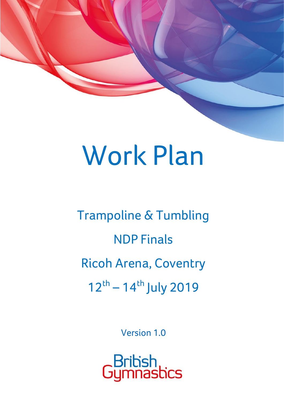# Work Plan

Trampoline & Tumbling NDP Finals Ricoh Arena, Coventry  $12^{th} - 14^{th}$  July 2019

Version 1.0

.<br>Bribish<br>Jymnasbics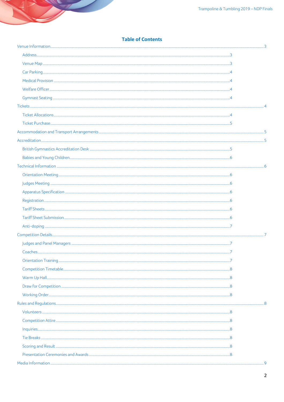# **Table of Contents**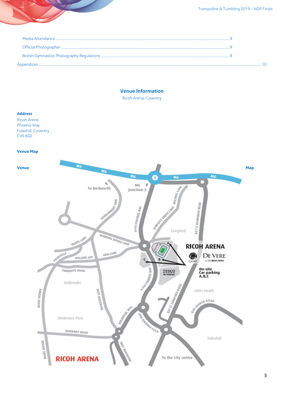# **Venue Information**

Ricoh Arena, Coventry

# <span id="page-2-1"></span><span id="page-2-0"></span>**Address**

Ricoh Arena Phoenix Way Foleshill, Coventry **CV6 6GE** 

**Venue Map** 

<span id="page-2-2"></span>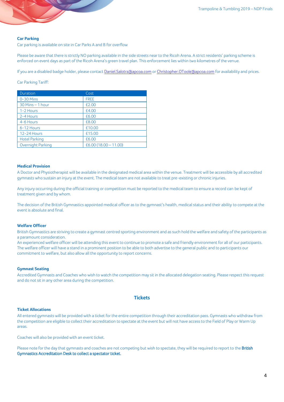# <span id="page-3-0"></span>**Car Parking**

Car parking is available on site in Car Parks A and B for overflow

Please be aware that there is strictly NO parking available in the side streets near to the Ricoh Arena. A strict residents' parking scheme is enforced on event days as part of the Ricoh Arena's green travel plan. This enforcement lies within two kilometres of the venue.

If you are a disabled badge holder, please contact [Daniel.Salotra@apcoa.com](mailto:Daniel.Salotra@apcoa.com) o[r Christopher.OToole@apcoa.com](mailto:Christopher.OToole@apcoa.com) for availability and prices.

#### Car Parking Tariff:

| Duration             | Cost                 |
|----------------------|----------------------|
| $0-30$ Mins          | <b>FREE</b>          |
| 30 Mins - 1 hour     | £2.00                |
| 1-2 Hours            | £4.00                |
| 2-4 Hours            | £6.00                |
| 4-6 Hours            | £8.00                |
| 6-12 Hours           | £10.00               |
| <b>12-24 Hours</b>   | £15.00               |
| <b>Hotel Parking</b> | £6.00                |
| Overnight Parking    | £6.00(18.00 – 11.00) |

#### <span id="page-3-1"></span>**Medical Provision**

A Doctor and Physiotherapist will be available in the designated medical area within the venue. Treatment will be accessible by all accredited gymnasts who sustain an injury at the event. The medical team are not available to treat pre-existing or chronic injuries.

Any injury occurring during the official training or competition must be reported to the medical team to ensure a record can be kept of treatment given and by whom.

The decision of the British Gymnastics appointed medical officer as to the gymnast's health, medical status and their ability to compete at the event is absolute and final.

# <span id="page-3-2"></span>**Welfare Officer**

British Gymnastics are striving to create a gymnast centred sporting environment and as such hold the welfare and safety of the participants as a paramount consideration.

An experienced welfare officer will be attending this event to continue to promote a safe and friendly environment for all of our participants. The welfare officer will have a stand in a prominent position to be able to both advertise to the general public and to participants our commitment to welfare, but also allow all the opportunity to report concerns.

## <span id="page-3-3"></span>**Gymnast Seating**

<span id="page-3-4"></span>Accredited Gymnasts and Coaches who wish to watch the competition may sit in the allocated delegation seating. Please respect this request and do not sit in any other area during the competition.

# **Tickets**

#### <span id="page-3-5"></span>**Ticket Allocations**

All entered gymnasts will be provided with a ticket for the entire competition through their accreditation pass. Gymnasts who withdraw from the competition are eligible to collect their accreditation to spectate at the event but will not have access to the Field of Play or Warm Up areas.

Coaches will also be provided with an event ticket.

Please note for the day that gymnasts and coaches are not competing but wish to spectate, they will be required to report to the British Gymnastics Accreditation Desk to collect a spectator ticket.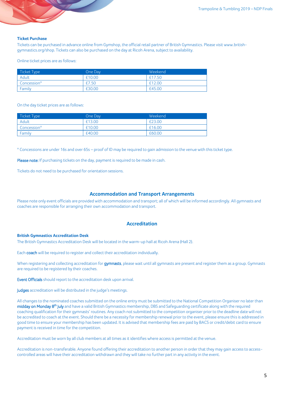### <span id="page-4-0"></span>**Ticket Purchase**

Tickets can be purchased in advance online from Gymshop, the official retail partner of British Gymnastics. Please visit www.britishgymnastics.org/shop. Tickets can also be purchased on the day at Ricoh Arena, subject to availability.

Online ticket prices are as follows:

| Ticket Type | One Day | Weekend |
|-------------|---------|---------|
| Adult       | £10.00  | £17.50  |
| Concession* | £7.50   | £12.00  |
| Family      | £30.00  | £45.00  |

On the day ticket prices are as follows:

| Ticket Type | One Day | Weekend |
|-------------|---------|---------|
| Adult       | £13.00  | £23.00  |
| Concession* | £10.00  | £16.00  |
| Family      | £40.00  | £60.00  |

\* Concessions are under 16s and over 65s – proof of ID may be required to gain admission to the venue with this ticket type.

Please note: If purchasing tickets on the day, payment is required to be made in cash.

<span id="page-4-1"></span>Tickets do not need to be purchased for orientation sessions.

#### **Accommodation and Transport Arrangements**

<span id="page-4-2"></span>Please note only event officials are provided with accommodation and transport; all of which will be informed accordingly. All gymnasts and coaches are responsible for arranging their own accommodation and transport.

# **Accreditation**

## <span id="page-4-3"></span>**British Gymnastics Accreditation Desk**

The British Gymnastics Accreditation Desk will be located in the warm-up hall at Ricoh Arena (Hall 2).

Each coach will be required to register and collect their accreditation individually.

When registering and collecting accreditation for gymnasts, please wait until all gymnasts are present and register them as a group. Gymnasts are required to be registered by their coaches.

Event Officials should report to the accreditation desk upon arrival.

Judges accreditation will be distributed in the judge's meetings.

All changes to the nominated coaches submitted on the online entry must be submitted to the National Competition Organiser no later than midday on Monday 8<sup>th</sup> July and have a valid British Gymnastics membership, DBS and Safeguarding certificate along with the required coaching qualification for their gymnasts' routines. Any coach not submitted to the competition organiser prior to the deadline date will not be accredited to coach at the event. Should there be a necessity for membership renewal prior to the event, please ensure this is addressed in good time to ensure your membership has been updated. It is advised that membership fees are paid by BACS or credit/debit card to ensure payment is received in time for the competition.

Accreditation must be worn by all club members at all times as it identifies where access is permitted at the venue.

Accreditation is non-transferable. Anyone found offering their accreditation to another person in order that they may gain access to accesscontrolled areas will have their accreditation withdrawn and they will take no further part in any activity in the event.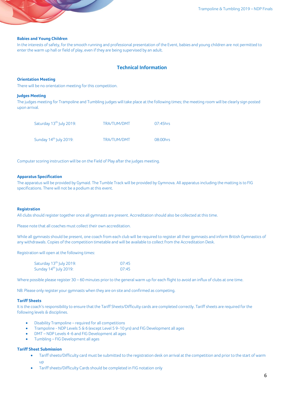#### <span id="page-5-0"></span>**Babies and Young Children**

<span id="page-5-1"></span>In the interests of safety, for the smooth running and professional presentation of the Event, babies and young children are not permitted to enter the warm up hall or field of play, even if they are being supervised by an adult.

# **Technical Information**

#### <span id="page-5-2"></span>**Orientation Meeting**

<span id="page-5-3"></span>There will be no orientation meeting for this competition.

#### **Judges Meeting**

The judges meeting for Trampoline and Tumbling judges will take place at the following times; the meeting room will be clearly sign posted upon arrival.

| Saturday 13 <sup>th</sup> July 2019: | TRA/TUM/DMT | $07:45$ hrs |
|--------------------------------------|-------------|-------------|
| Sunday 14 <sup>th</sup> July 2019:   | TRA/TUM/DMT | 08:00hrs    |

Computer scoring instruction will be on the Field of Play after the judges meeting.

## <span id="page-5-4"></span>**Apparatus Specification**

The apparatus will be provided by Gymaid. The Tumble Track will be provided by Gymnova. All apparatus including the matting is to FIG specifications. There will not be a podium at this event.

#### <span id="page-5-5"></span>**Registration**

All clubs should register together once all gymnasts are present. Accreditation should also be collected at this time.

Please note that all coaches must collect their own accreditation.

While all gymnasts should be present, one coach from each club will be required to register all their gymnasts and inform British Gymnastics of any withdrawals. Copies of the competition timetable and will be available to collect from the Accreditation Desk.

Registration will open at the following times:

| Saturday 13 <sup>th</sup> July 2019: | 07:45 |
|--------------------------------------|-------|
| Sunday 14 <sup>th</sup> July 2019:   | 07:45 |

Where possible please register 30 – 60 minutes prior to the general warm up for each flight to avoid an influx of clubs at one time.

<span id="page-5-6"></span>NB: Please only register your gymnasts when they are on site and confirmed as competing.

### **Tariff Sheets**

It is the coach's responsibility to ensure that the Tariff Sheets/Difficulty cards are completed correctly. Tariff sheets are required for the following levels & disciplines.

- Disability Trampoline required for all competitions
- Trampoline NDP Levels 5 & 6 (except Level 5 9-10 yrs) and FIG Development all ages
- DMT NDP Levels 4-6 and FIG Development all ages
- Tumbling FIG Development all ages

# <span id="page-5-7"></span>**Tariff Sheet Submission**

- Tariff sheets/Difficulty card must be submitted to the registration desk on arrival at the competition and prior to the start of warm up
- Tariff sheets/Difficulty Cards should be completed in FIG notation only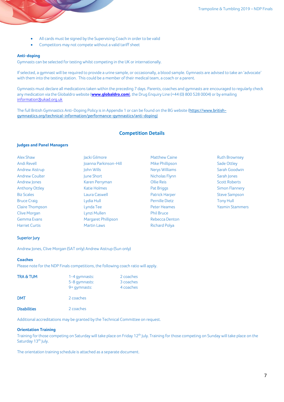- All cards must be signed by the Supervising Coach in order to be valid
- Competitors may not compete without a valid tariff sheet

## <span id="page-6-0"></span>**Anti-doping**

Gymnasts can be selected for testing whilst competing in the UK or internationally.

If selected, a gymnast will be required to provide a urine sample, or occasionally, a blood sample. Gymnasts are advised to take an 'advocate' with them into the testing station. This could be a member of their medical team, a coach or a parent.

Gymnasts must declare all medications taken within the preceding 7 days. Parents, coaches and gymnasts are encouraged to regularly check any medication via the Globaldro website (**[www.globaldro.com](http://www.globaldro.com/)**), the Drug Enquiry Line (+44 (0) 800 528 0004) or by emailing [information@ukad.org.uk](mailto:information@ukad.org.uk)

<span id="page-6-1"></span>The full British Gymnastics Anti-Doping Policy is in Appendix 1 or can be found on the BG website (https://www.britishgymnastics.org/technical-information/performance-gymnastics/anti-doping)

# **Competition Details**

# <span id="page-6-2"></span>**Judges and Panel Managers**

| Alex Shaw              | Jacki Gilmore         | <b>Matthew Caine</b>  | <b>Ruth Brownsey</b>   |
|------------------------|-----------------------|-----------------------|------------------------|
| Andi Revell            | Joanna Parkinson-Hill | Mike Phillipson       | Sade Ottley            |
| <b>Andrew Aistrup</b>  | John Wills            | <b>Nerys Williams</b> | Sarah Goodwin          |
| <b>Andrew Coulter</b>  | June Short            | Nicholas Flynn        | Sarah Jones            |
| Andrew Jones           | Karen Perryman        | Ollie Reis            | <b>Scott Roberts</b>   |
| <b>Anthony Ottley</b>  | <b>Katie Holmes</b>   | Pat Briggs            | Simon Flannery         |
| <b>Biz Scales</b>      | Laura Caswell         | <b>Patrick Harper</b> | <b>Steve Sampson</b>   |
| <b>Bruce Craig</b>     | Lydia Hull            | Pernille Dietz        | Tony Hull              |
| <b>Claire Thompson</b> | Lynda Tee             | Peter Heames          | <b>Yasmin Stammers</b> |
| Clive Morgan           | Lynzi Mullen          | <b>Phil Bruce</b>     |                        |
| Gemma Evans            | Margaret Phillipson   | Rebecca Denton        |                        |
| <b>Harriet Curtis</b>  | <b>Martin Laws</b>    | <b>Richard Polya</b>  |                        |

# Superior Jury

Andrew Jones, Clive Morgan (SAT only) Andrew Aistrup (Sun only)

#### <span id="page-6-3"></span>**Coaches**

Please note for the NDP Finals competitions, the following coach ratio will apply.

| <b>TRA &amp; TUM</b> | 1-4 gymnasts:<br>5-8 gymnasts:<br>9+ gymnasts: | 2 coaches<br>3 coaches<br>4 coaches |
|----------------------|------------------------------------------------|-------------------------------------|
| <b>DMT</b>           | 2 coaches                                      |                                     |
| <b>Disabilities</b>  | 2 coaches                                      |                                     |

<span id="page-6-4"></span>Additional accreditations may be granted by the Technical Committee on request.

#### **Orientation Training**

Training for those competing on Saturday will take place on Friday 12<sup>th</sup> July. Training for those competing on Sunday will take place on the Saturday 13<sup>th</sup> July.

The orientation training schedule is attached as a separate document.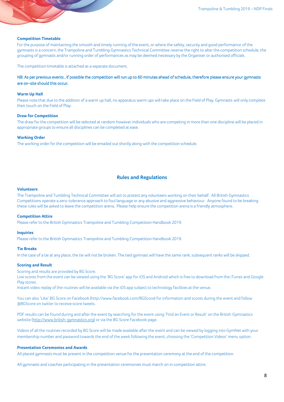## <span id="page-7-0"></span>**Competition Timetable**

For the purpose of maintaining the smooth and timely running of the event, or where the safety, security and good performance of the gymnasts is a concern, the Trampoline and Tumbling Gymnastics Technical Committee reserve the right to alter the competition schedule, the grouping of gymnasts and/or running order of performances as may be deemed necessary by the Organiser or authorised officials.

The competition timetable is attached as a separate document.

# NB: As per previous events , if possible the competition will run up to 60 minutes ahead of schedule, therefore please ensure your gymnasts are on-site should this occur.

#### <span id="page-7-1"></span>**Warm Up Hall**

Please note that due to the addition of a warm up hall, no apparatus warm ups will take place on the Field of Play. Gymnasts will only complete their touch on the Field of Play.

#### <span id="page-7-2"></span>**Draw for Competition**

The draw for the competition will be selected at random however individuals who are competing in more than one discipline will be placed in appropriate groups to ensure all disciplines can be completed at ease.

#### <span id="page-7-3"></span>**Working Order**

<span id="page-7-4"></span>The working order for the competition will be emailed out shortly along with the competition schedule.

# **Rules and Regulations**

#### <span id="page-7-5"></span>**Volunteers**

The Trampoline and Tumbling Technical Committee will act to protect any volunteers working on their behalf. All British Gymnastics Competitions operate a zero-tolerance approach to foul language or any abusive and aggressive behaviour. Anyone found to be breaking these rules will be asked to leave the competition arena. Please help ensure the competition arena is a friendly atmosphere.

## <span id="page-7-6"></span>**Competition Attire**

<span id="page-7-7"></span>Please refer to the British Gymnastics Trampoline and Tumbling Competition Handbook 2019.

#### **Inquiries**

<span id="page-7-8"></span>Please refer to the British Gymnastics Trampoline and Tumbling Competition Handbook 2019.

#### **Tie Breaks**

<span id="page-7-9"></span>In the case of a tie at any place, the tie will not be broken. The tied gymnast will have the same rank, subsequent ranks will be skipped.

## **Scoring and Result**

Scoring and results are provided by BG Score.

Live scores from the event can be viewed using the 'BG Score' app for iOS and Android which is free to download from the iTunes and Google Play stores.

Instant video replay of the routines will be available via the iOS app subject to technology facilities at the venue.

You can also 'Like' BG Score on Facebook (http://www.facebook.com/BGScore) for information and scores during the event and follow a BGScore on twitter to receive score tweets.

PDF results can be found during and after the event by searching for the event using 'Find an Event or Result' on the British Gymnastics website [\(http://www.british-gymnastics.org\)](http://www.british-gymnastics.org/) or via the BG Score Facebook page.

Videos of all the routines recorded by BG Score will be made available after the event and can be viewed by logging into GymNet with your membership number and password towards the end of the week following the event, choosing the 'Competition Videos' menu option.

# <span id="page-7-10"></span>**Presentation Ceremonies and Awards**

All placed gymnasts must be present in the competition venue for the presentation ceremony at the end of the competition.

All gymnasts and coaches participating in the presentation ceremonies must march on in competition attire.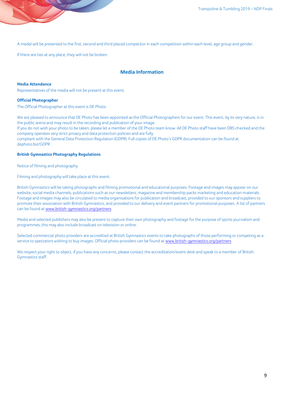A medal will be presented to the first, second and third placed competitor in each competition within each level, age group and gender.

<span id="page-8-0"></span>If there are ties at any place, they will not be broken.

# **Media Information**

#### <span id="page-8-1"></span>**Media Attendance**

<span id="page-8-2"></span>Representatives of the media will not be present at this event.

#### **Official Photographer**

The Official Photographer at this event is DE Photo.

We are pleased to announce that DE Photo has been appointed as the Official Photographers for our event. This event, by its very nature, is in the public arena and may result in the recording and publication of your image.

If you do not wish your photo to be taken, please let a member of the DE Photo team know. All DE Photo staff have been DBS checked and the company operates very strict privacy and data protection policies and are fully

compliant with the General Data Protection Regulation (GDPR). Full copies of DE Photo's GDPR documentation can be found at [dephoto.biz/GDPR](http://dephoto.biz/GDPR)

# <span id="page-8-3"></span>**British Gymnastics Photography Regulations**

Notice of filming and photography

Filming and photography will take place at this event.

British Gymnastics will be taking photographs and filming promotional and educational purposes. Footage and images may appear on our website, social media channels, publications such as our newsletters, magazine and membership packs marketing and education materials. Footage and images may also be circulated to media organisations for publication and broadcast, provided to our sponsors and suppliers to promote their association with British Gymnastics, and provided to our delivery and event partners for promotional purposes. A list of partners can be found a[t www.british-gymnastics.org/partners](http://www.british-gymnastics.org/partners)

Media and selected publishers may also be present to capture their own photography and footage for the purpose of sports journalism and programmes, this may also include broadcast on television or online.

Selected commercial photo providers are accredited at British Gymnastics events to take photographs of those performing or competing as a service to spectators wishing to buy images. Official photo providers can be found at [www.british-gymnastics.org/partners](http://www.british-gymnastics.org/partners)

We respect your right to object, if you have any concerns, please contact the accreditation/event desk and speak to a member of British Gymnastics staff.